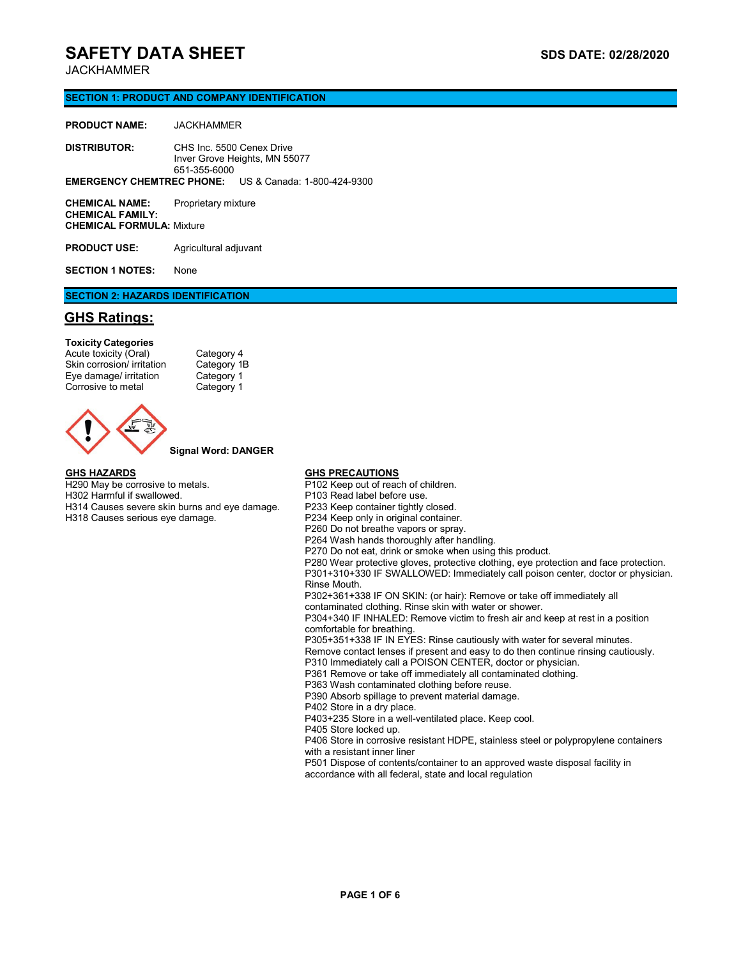## JACKHAMMER

## **SECTION 1: PRODUCT AND COMPANY IDENTIFICATION**

| <b>PRODUCT NAME:</b> | JACKHAMMER   |                                                              |
|----------------------|--------------|--------------------------------------------------------------|
| <b>DISTRIBUTOR:</b>  | 651-355-6000 | CHS Inc. 5500 Cenex Drive<br>Inver Grove Heights, MN 55077   |
|                      |              | <b>EMERGENCY CHEMTREC PHONE:</b> US & Canada: 1-800-424-9300 |
| $\bigcap$            |              |                                                              |

**CHEMICAL NAME:** Proprietary mixture **CHEMICAL FAMILY: CHEMICAL FORMULA:** Mixture

**PRODUCT USE:** Agricultural adjuvant

**SECTION 1 NOTES:** None

## **SECTION 2: HAZARDS IDENTIFICATION**

## **GHS Ratings:**

**Toxicity Categories** Acute toxicity (Oral)<br>
Skin corrosion/ irritation Category 1B Skin corrosion/ irritation Eye damage/ irritation Category 1<br>Corrosive to metal Category 1 Corrosive to metal



**Signal Word: DANGER**

#### **GHS HAZARDS**

H290 May be corrosive to metals. H302 Harmful if swallowed. H314 Causes severe skin burns and eye damage. H318 Causes serious eye damage.

### **GHS PRECAUTIONS**

P102 Keep out of reach of children. P103 Read label before use. P233 Keep container tightly closed. P234 Keep only in original container. P260 Do not breathe vapors or spray. P264 Wash hands thoroughly after handling. P270 Do not eat, drink or smoke when using this product. P280 Wear protective gloves, protective clothing, eye protection and face protection. P301+310+330 IF SWALLOWED: Immediately call poison center, doctor or physician. Rinse Mouth. P302+361+338 IF ON SKIN: (or hair): Remove or take off immediately all contaminated clothing. Rinse skin with water or shower. P304+340 IF INHALED: Remove victim to fresh air and keep at rest in a position comfortable for breathing. P305+351+338 IF IN EYES: Rinse cautiously with water for several minutes. Remove contact lenses if present and easy to do then continue rinsing cautiously. P310 Immediately call a POISON CENTER, doctor or physician. P361 Remove or take off immediately all contaminated clothing. P363 Wash contaminated clothing before reuse. P390 Absorb spillage to prevent material damage. P402 Store in a dry place. P403+235 Store in a well-ventilated place. Keep cool. P405 Store locked up. P406 Store in corrosive resistant HDPE, stainless steel or polypropylene containers with a resistant inner liner P501 Dispose of contents/container to an approved waste disposal facility in accordance with all federal, state and local regulation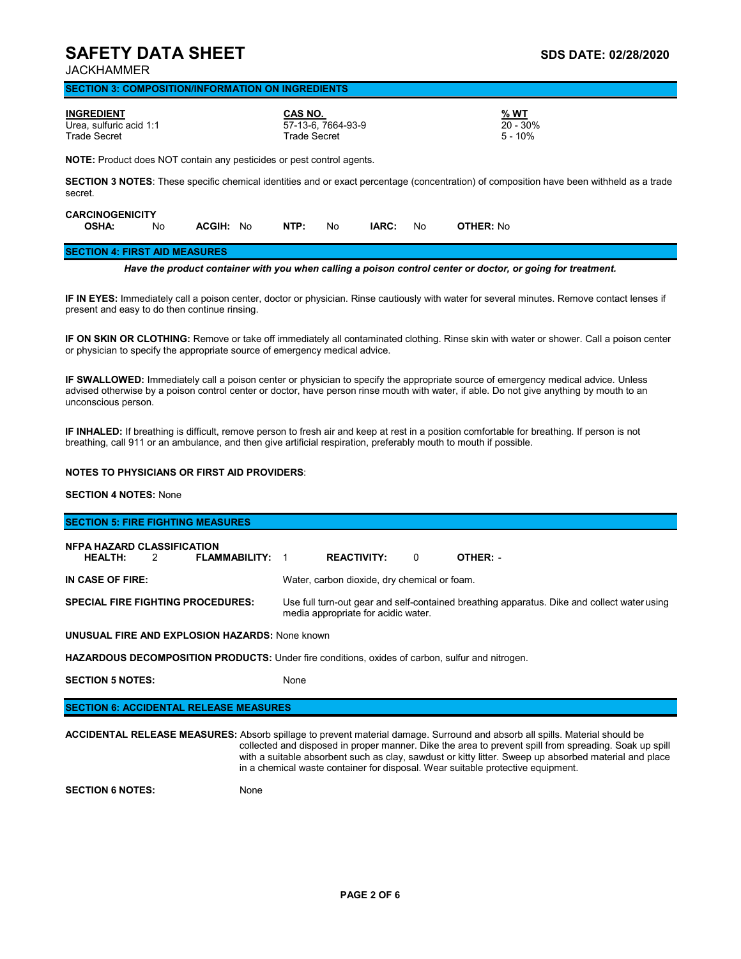JACKHAMMER

### **SECTION 3: COMPOSITION/INFORMATION ON INGREDIENTS**

| <b>INGREDIENT</b><br>Urea. sulfuric acid 1:1<br><b>Trade Secret</b> |                                                                              |                  |  | CAS NO.<br><b>Trade Secret</b> | 57-13-6. 7664-93-9 |       |    | % WT<br>$20 - 30\%$<br>$5 - 10%$                                                                                                                |
|---------------------------------------------------------------------|------------------------------------------------------------------------------|------------------|--|--------------------------------|--------------------|-------|----|-------------------------------------------------------------------------------------------------------------------------------------------------|
|                                                                     | <b>NOTE:</b> Product does NOT contain any pesticides or pest control agents. |                  |  |                                |                    |       |    |                                                                                                                                                 |
| secret.                                                             |                                                                              |                  |  |                                |                    |       |    | <b>SECTION 3 NOTES:</b> These specific chemical identities and or exact percentage (concentration) of composition have been withheld as a trade |
| <b>CARCINOGENICITY</b><br><b>OSHA:</b>                              | No                                                                           | <b>ACGIH: No</b> |  | NTP:                           | No                 | IARC: | No | <b>OTHER: No</b>                                                                                                                                |

#### **SECTION 4: FIRST AID MEASURES**

*Have the product container with you when calling a poison control center or doctor, or going for treatment.*

**IF IN EYES:** Immediately call a poison center, doctor or physician. Rinse cautiously with water for several minutes. Remove contact lenses if present and easy to do then continue rinsing.

**IF ON SKIN OR CLOTHING:** Remove or take off immediately all contaminated clothing. Rinse skin with water or shower. Call a poison center or physician to specify the appropriate source of emergency medical advice.

**IF SWALLOWED:** Immediately call a poison center or physician to specify the appropriate source of emergency medical advice. Unless advised otherwise by a poison control center or doctor, have person rinse mouth with water, if able. Do not give anything by mouth to an unconscious person.

**IF INHALED:** If breathing is difficult, remove person to fresh air and keep at rest in a position comfortable for breathing. If person is not breathing, call 911 or an ambulance, and then give artificial respiration, preferably mouth to mouth if possible.

### **NOTES TO PHYSICIANS OR FIRST AID PROVIDERS**:

## **SECTION 4 NOTES:** None

| <b>SECTION 5: FIRE FIGHTING MEASURES</b>                                                               |                                                                                                                                    |  |  |  |  |  |
|--------------------------------------------------------------------------------------------------------|------------------------------------------------------------------------------------------------------------------------------------|--|--|--|--|--|
| <b>NEPA HAZARD CLASSIFICATION</b><br><b>HEALTH:</b><br>FLAMMABILITY:<br>$\mathcal{P}$                  | <b>REACTIVITY:</b><br>$\Omega$<br>OTHER: -                                                                                         |  |  |  |  |  |
| IN CASE OF FIRE:                                                                                       | Water, carbon dioxide, dry chemical or foam.                                                                                       |  |  |  |  |  |
| SPECIAL FIRE FIGHTING PROCEDURES:                                                                      | Use full turn-out gear and self-contained breathing apparatus. Dike and collect water using<br>media appropriate for acidic water. |  |  |  |  |  |
| <b>UNUSUAL FIRE AND EXPLOSION HAZARDS: None known</b>                                                  |                                                                                                                                    |  |  |  |  |  |
| <b>HAZARDOUS DECOMPOSITION PRODUCTS:</b> Under fire conditions, oxides of carbon, sulfur and nitrogen. |                                                                                                                                    |  |  |  |  |  |
| <b>SECTION 5 NOTES:</b>                                                                                | None                                                                                                                               |  |  |  |  |  |
|                                                                                                        |                                                                                                                                    |  |  |  |  |  |

| <b>SECTION 6: ACCIDENTAL RELEASE MEASURES</b> |  |
|-----------------------------------------------|--|
|-----------------------------------------------|--|

| <b>ACCIDENTAL RELEASE MEASURES:</b> Absorb spillage to prevent material damage. Surround and absorb all spills. Material should be |  |
|------------------------------------------------------------------------------------------------------------------------------------|--|
| collected and disposed in proper manner. Dike the area to prevent spill from spreading. Soak up spill                              |  |
| with a suitable absorbent such as clay, sawdust or kitty litter. Sweep up absorbed material and place                              |  |
| in a chemical waste container for disposal. Wear suitable protective equipment.                                                    |  |

**SECTION 6 NOTES:** None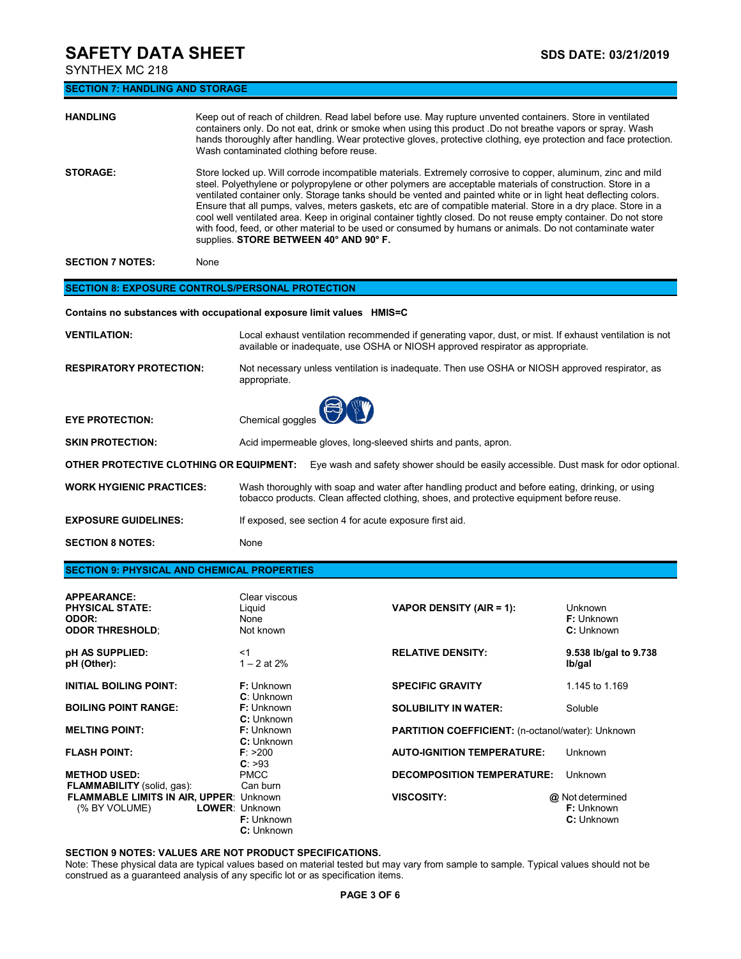SYNTHEX MC 218

**SECTION 7: HANDLING AND STORAGE**

| <b>HANDLING</b> | Keep out of reach of children. Read label before use. May rupture unvented containers. Store in ventilated<br>containers only. Do not eat, drink or smoke when using this product .Do not breathe vapors or spray. Wash<br>hands thoroughly after handling. Wear protective gloves, protective clothing, eye protection and face protection.<br>Wash contaminated clothing before reuse.                                                                                                                                                                                                                                                                                                                                                    |
|-----------------|---------------------------------------------------------------------------------------------------------------------------------------------------------------------------------------------------------------------------------------------------------------------------------------------------------------------------------------------------------------------------------------------------------------------------------------------------------------------------------------------------------------------------------------------------------------------------------------------------------------------------------------------------------------------------------------------------------------------------------------------|
| <b>STORAGE:</b> | Store locked up. Will corrode incompatible materials. Extremely corrosive to copper, aluminum, zinc and mild<br>steel. Polyethylene or polypropylene or other polymers are acceptable materials of construction. Store in a<br>ventilated container only. Storage tanks should be vented and painted white or in light heat deflecting colors.<br>Ensure that all pumps, valves, meters gaskets, etc are of compatible material. Store in a dry place. Store in a<br>cool well ventilated area. Keep in original container tightly closed. Do not reuse empty container. Do not store<br>with food, feed, or other material to be used or consumed by humans or animals. Do not contaminate water<br>supplies. STORE BETWEEN 40° AND 90° F. |

**SECTION 7 NOTES:** None

### **SECTION 8: EXPOSURE CONTROLS/PERSONAL PROTECTION**

**Contains no substances with occupational exposure limit values HMIS=C**

| <b>ADDEARANCE</b>                                  | Clear viscous                                                                                                                                                                                |
|----------------------------------------------------|----------------------------------------------------------------------------------------------------------------------------------------------------------------------------------------------|
| <b>SECTION 9: PHYSICAL AND CHEMICAL PROPERTIES</b> |                                                                                                                                                                                              |
| <b>SECTION 8 NOTES:</b>                            | None                                                                                                                                                                                         |
| <b>EXPOSURE GUIDELINES:</b>                        | If exposed, see section 4 for acute exposure first aid.                                                                                                                                      |
| <b>WORK HYGIENIC PRACTICES:</b>                    | Wash thoroughly with soap and water after handling product and before eating, drinking, or using<br>tobacco products. Clean affected clothing, shoes, and protective equipment before reuse. |
| OTHER PROTECTIVE CLOTHING OR EQUIPMENT:            | Eye wash and safety shower should be easily accessible. Dust mask for odor optional.                                                                                                         |
| <b>SKIN PROTECTION:</b>                            | Acid impermeable gloves, long-sleeved shirts and pants, apron.                                                                                                                               |
| <b>EYE PROTECTION:</b>                             | Chemical goggles                                                                                                                                                                             |
| <b>RESPIRATORY PROTECTION:</b>                     | Not necessary unless ventilation is inadequate. Then use OSHA or NIOSH approved respirator, as<br>appropriate.                                                                               |
| <b>VENTILATION:</b>                                | Local exhaust ventilation recommended if generating vapor, dust, or mist. If exhaust ventilation is not<br>available or inadequate, use OSHA or NIOSH approved respirator as appropriate.    |
|                                                    |                                                                                                                                                                                              |

| <b>APPEARANCE:</b><br><b>PHYSICAL STATE:</b><br><b>ODOR:</b><br><b>ODOR THRESHOLD:</b> | Clear viscous<br>Liquid<br>None<br>Not known      | <b>VAPOR DENSITY (AIR = 1):</b>                          | <b>Unknown</b><br><b>F:</b> Unknown<br>C: Unknown   |
|----------------------------------------------------------------------------------------|---------------------------------------------------|----------------------------------------------------------|-----------------------------------------------------|
| pH AS SUPPLIED:<br>pH (Other):                                                         | $<$ 1<br>$1 - 2$ at 2%                            | <b>RELATIVE DENSITY:</b>                                 | 9.538 lb/gal to 9.738<br>lb/gal                     |
| <b>INITIAL BOILING POINT:</b>                                                          | <b>F:</b> Unknown<br><b>C</b> : Unknown           | <b>SPECIFIC GRAVITY</b>                                  | 1.145 to 1.169                                      |
| <b>BOILING POINT RANGE:</b>                                                            | <b>F:</b> Unknown<br>C: Unknown                   | <b>SOLUBILITY IN WATER:</b>                              | Soluble                                             |
| <b>MELTING POINT:</b>                                                                  | <b>F:</b> Unknown<br>C: Unknown                   | <b>PARTITION COEFFICIENT:</b> (n-octanol/water): Unknown |                                                     |
| <b>FLASH POINT:</b>                                                                    | F: > 200<br>C: >93                                | <b>AUTO-IGNITION TEMPERATURE:</b>                        | Unknown                                             |
| <b>METHOD USED:</b><br><b>FLAMMABILITY</b> (solid, gas):                               | <b>PMCC</b><br>Can burn                           | <b>DECOMPOSITION TEMPERATURE:</b>                        | <b>Unknown</b>                                      |
| <b>FLAMMABLE LIMITS IN AIR, UPPER: Unknown</b><br>(% BY VOLUME)                        | <b>LOWER: Unknown</b><br>F: Unknown<br>C: Unknown | <b>VISCOSITY:</b>                                        | @ Not determined<br><b>F:</b> Unknown<br>C: Unknown |

## **SECTION 9 NOTES: VALUES ARE NOT PRODUCT SPECIFICATIONS.**

Note: These physical data are typical values based on material tested but may vary from sample to sample. Typical values should not be construed as a guaranteed analysis of any specific lot or as specification items.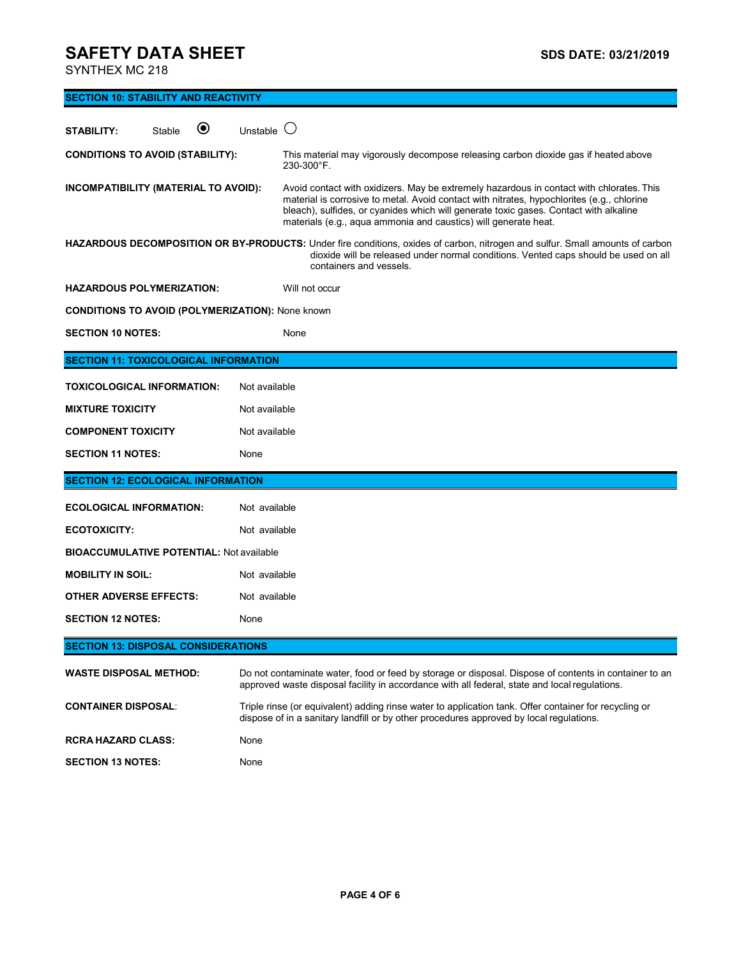SYNTHEX MC 218

| <b>SECTION 10: STABILITY AND REACTIVITY</b>             |                     |                                                                                                                                                                                                                                                                                                                                                    |  |  |
|---------------------------------------------------------|---------------------|----------------------------------------------------------------------------------------------------------------------------------------------------------------------------------------------------------------------------------------------------------------------------------------------------------------------------------------------------|--|--|
| $\boldsymbol{\Theta}$<br><b>STABILITY:</b><br>Stable    | Unstable $\bigcirc$ |                                                                                                                                                                                                                                                                                                                                                    |  |  |
| <b>CONDITIONS TO AVOID (STABILITY):</b>                 |                     | This material may vigorously decompose releasing carbon dioxide gas if heated above<br>230-300°F.                                                                                                                                                                                                                                                  |  |  |
| INCOMPATIBILITY (MATERIAL TO AVOID):                    |                     | Avoid contact with oxidizers. May be extremely hazardous in contact with chlorates. This<br>material is corrosive to metal. Avoid contact with nitrates, hypochlorites (e.g., chlorine<br>bleach), sulfides, or cyanides which will generate toxic gases. Contact with alkaline<br>materials (e.g., aqua ammonia and caustics) will generate heat. |  |  |
|                                                         |                     | HAZARDOUS DECOMPOSITION OR BY-PRODUCTS: Under fire conditions, oxides of carbon, nitrogen and sulfur. Small amounts of carbon<br>dioxide will be released under normal conditions. Vented caps should be used on all<br>containers and vessels.                                                                                                    |  |  |
| <b>HAZARDOUS POLYMERIZATION:</b>                        |                     | Will not occur                                                                                                                                                                                                                                                                                                                                     |  |  |
| <b>CONDITIONS TO AVOID (POLYMERIZATION): None known</b> |                     |                                                                                                                                                                                                                                                                                                                                                    |  |  |
| <b>SECTION 10 NOTES:</b>                                |                     | None                                                                                                                                                                                                                                                                                                                                               |  |  |
| <b>SECTION 11: TOXICOLOGICAL INFORMATION</b>            |                     |                                                                                                                                                                                                                                                                                                                                                    |  |  |
| <b>TOXICOLOGICAL INFORMATION:</b>                       | Not available       |                                                                                                                                                                                                                                                                                                                                                    |  |  |
| <b>MIXTURE TOXICITY</b>                                 | Not available       |                                                                                                                                                                                                                                                                                                                                                    |  |  |
| <b>COMPONENT TOXICITY</b>                               | Not available       |                                                                                                                                                                                                                                                                                                                                                    |  |  |
| <b>SECTION 11 NOTES:</b><br>None                        |                     |                                                                                                                                                                                                                                                                                                                                                    |  |  |
| <b>SECTION 12: ECOLOGICAL INFORMATION</b>               |                     |                                                                                                                                                                                                                                                                                                                                                    |  |  |
| <b>ECOLOGICAL INFORMATION:</b>                          | Not available       |                                                                                                                                                                                                                                                                                                                                                    |  |  |
| <b>ECOTOXICITY:</b>                                     | Not available       |                                                                                                                                                                                                                                                                                                                                                    |  |  |
| <b>BIOACCUMULATIVE POTENTIAL: Not available</b>         |                     |                                                                                                                                                                                                                                                                                                                                                    |  |  |
| <b>MOBILITY IN SOIL:</b>                                | Not available       |                                                                                                                                                                                                                                                                                                                                                    |  |  |
| <b>OTHER ADVERSE EFFECTS:</b>                           | Not available       |                                                                                                                                                                                                                                                                                                                                                    |  |  |
| <b>SECTION 12 NOTES:</b>                                | None                |                                                                                                                                                                                                                                                                                                                                                    |  |  |
| <b>SECTION 13: DISPOSAL CONSIDERATIONS</b>              |                     |                                                                                                                                                                                                                                                                                                                                                    |  |  |
| <b>WASTE DISPOSAL METHOD:</b>                           |                     | Do not contaminate water, food or feed by storage or disposal. Dispose of contents in container to an<br>approved waste disposal facility in accordance with all federal, state and local regulations.                                                                                                                                             |  |  |
| <b>CONTAINER DISPOSAL:</b>                              |                     | Triple rinse (or equivalent) adding rinse water to application tank. Offer container for recycling or<br>dispose of in a sanitary landfill or by other procedures approved by local regulations.                                                                                                                                                   |  |  |
| <b>RCRA HAZARD CLASS:</b>                               | None                |                                                                                                                                                                                                                                                                                                                                                    |  |  |
| <b>SECTION 13 NOTES:</b>                                | None                |                                                                                                                                                                                                                                                                                                                                                    |  |  |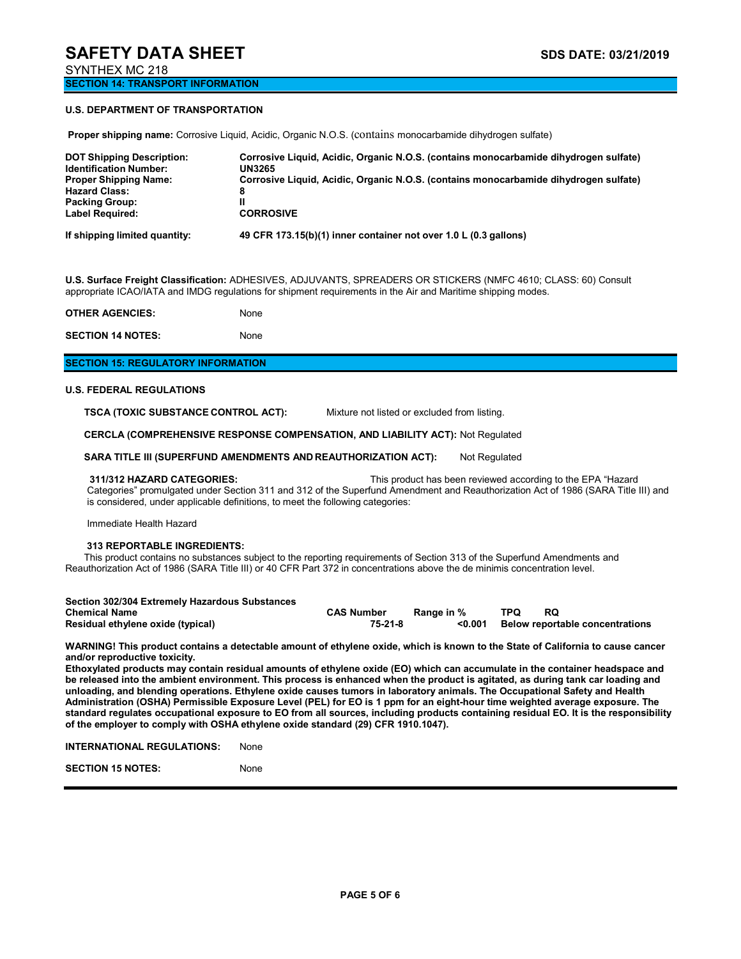**SECTION 14: TRANSPORT INFORMATION**

### **U.S. DEPARTMENT OF TRANSPORTATION**

**Proper shipping name:** Corrosive Liquid, Acidic, Organic N.O.S. (contains monocarbamide dihydrogen sulfate) **DOT Shipping Description: Corrosive Liquid, Acidic, Organic N.O.S. (contains monocarbamide dihydrogen sulfate)** 

| If shipping limited quantity:    | 49 CFR 173.15(b)(1) inner container not over 1.0 L (0.3 gallons)                     |
|----------------------------------|--------------------------------------------------------------------------------------|
| <b>Label Required:</b>           | <b>CORROSIVE</b>                                                                     |
| <b>Packing Group:</b>            |                                                                                      |
| <b>Hazard Class:</b>             | 8                                                                                    |
| <b>Proper Shipping Name:</b>     | Corrosive Liquid, Acidic, Organic N.O.S. (contains monocarbamide dihydrogen sulfate) |
| <b>Identification Number:</b>    | UN3265                                                                               |
| <b>DOT SHIPPING DESCRIPTION:</b> | Corrosive Liquid, Acidic, Organic N.O.S. (contains monocarbamide dirivurogen sunate) |

**U.S. Surface Freight Classification:** ADHESIVES, ADJUVANTS, SPREADERS OR STICKERS (NMFC 4610; CLASS: 60) Consult appropriate ICAO/IATA and IMDG regulations for shipment requirements in the Air and Maritime shipping modes.

| <b>OTHER AGENCIES:</b>   | None |
|--------------------------|------|
| <b>SECTION 14 NOTES:</b> | None |

### **SECTION 15: REGULATORY INFORMATION**

#### **U.S. FEDERAL REGULATIONS**

**TSCA (TOXIC SUBSTANCE CONTROL ACT):** Mixture not listed or excluded from listing.

**CERCLA (COMPREHENSIVE RESPONSE COMPENSATION, AND LIABILITY ACT):** Not Regulated

**SARA TITLE III (SUPERFUND AMENDMENTS AND REAUTHORIZATION ACT):** Not Regulated

**311/312 HAZARD CATEGORIES:** This product has been reviewed according to the EPA "Hazard Categories" promulgated under Section 311 and 312 of the Superfund Amendment and Reauthorization Act of 1986 (SARA Title III) and is considered, under applicable definitions, to meet the following categories:

Immediate Health Hazard

#### **313 REPORTABLE INGREDIENTS:**

This product contains no substances subject to the reporting requirements of Section 313 of the Superfund Amendments and Reauthorization Act of 1986 (SARA Title III) or 40 CFR Part 372 in concentrations above the de minimis concentration level.

| Section 302/304 Extremely Hazardous Substances |                   |            |     |                                        |
|------------------------------------------------|-------------------|------------|-----|----------------------------------------|
| <b>Chemical Name</b>                           | <b>CAS Number</b> | Range in % | TPQ | RQ.                                    |
| Residual ethylene oxide (typical)              | 75-21-8           | <0.001     |     | <b>Below reportable concentrations</b> |

**WARNING! This product contains a detectable amount of ethylene oxide, which is known to the State of California to cause cancer and/or reproductive toxicity.**

**Ethoxylated products may contain residual amounts of ethylene oxide (EO) which can accumulate in the container headspace and be released into the ambient environment. This process is enhanced when the product is agitated, as during tank car loading and unloading, and blending operations. Ethylene oxide causes tumors in laboratory animals. The Occupational Safety and Health Administration (OSHA) Permissible Exposure Level (PEL) for EO is 1 ppm for an eight-hour time weighted average exposure. The standard regulates occupational exposure to EO from all sources, including products containing residual EO. It is the responsibility of the employer to comply with OSHA ethylene oxide standard (29) CFR 1910.1047).**

**INTERNATIONAL REGULATIONS:** None

**SECTION 15 NOTES:** None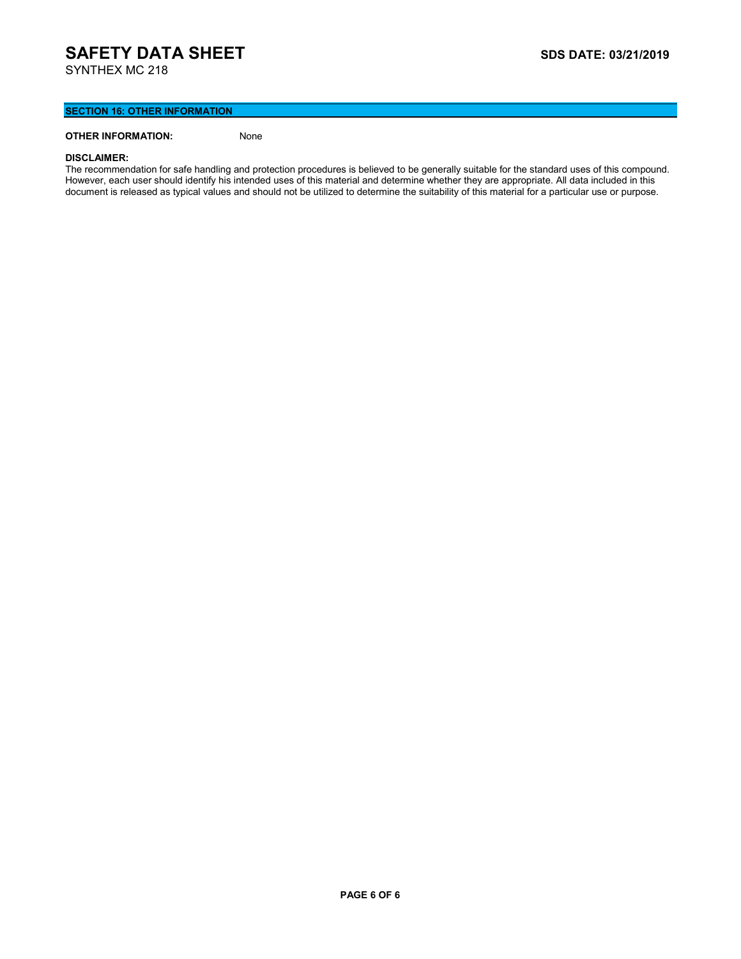## **SECTION 16: OTHER INFORMATION**

## **OTHER INFORMATION:** None

#### **DISCLAIMER:**

The recommendation for safe handling and protection procedures is believed to be generally suitable for the standard uses of this compound. However, each user should identify his intended uses of this material and determine whether they are appropriate. All data included in this document is released as typical values and should not be utilized to determine the suitability of this material for a particular use or purpose.